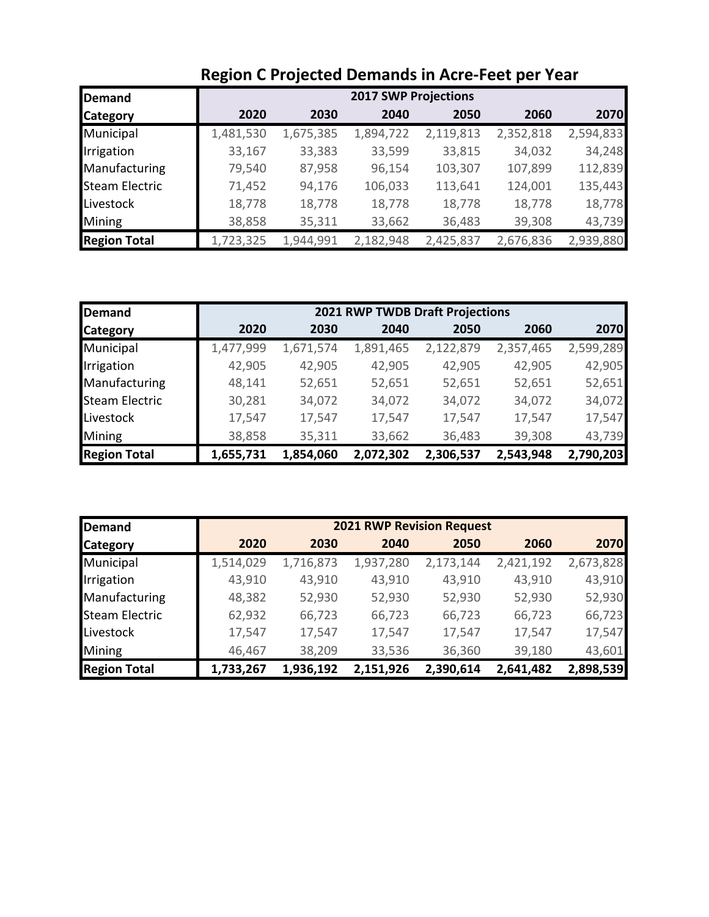| <b>Demand</b>         |           |           | <b>2017 SWP Projections</b> |           |           |           |
|-----------------------|-----------|-----------|-----------------------------|-----------|-----------|-----------|
| <b>Category</b>       | 2020      | 2030      | 2040                        | 2050      | 2060      | 2070      |
| Municipal             | 1,481,530 | 1,675,385 | 1,894,722                   | 2,119,813 | 2,352,818 | 2,594,833 |
| Irrigation            | 33,167    | 33,383    | 33,599                      | 33,815    | 34,032    | 34,248    |
| Manufacturing         | 79,540    | 87,958    | 96,154                      | 103,307   | 107,899   | 112,839   |
| <b>Steam Electric</b> | 71,452    | 94,176    | 106,033                     | 113,641   | 124,001   | 135,443   |
| Livestock             | 18,778    | 18,778    | 18,778                      | 18,778    | 18,778    | 18,778    |
| Mining                | 38,858    | 35,311    | 33,662                      | 36,483    | 39,308    | 43,739    |
| <b>Region Total</b>   | 1,723,325 | 1,944,991 | 2,182,948                   | 2,425,837 | 2,676,836 | 2,939,880 |

# **Region C Projected Demands in Acre-Feet per Year**

| <b>Demand</b>         |           |           | <b>2021 RWP TWDB Draft Projections</b> |           |           |           |
|-----------------------|-----------|-----------|----------------------------------------|-----------|-----------|-----------|
| <b>Category</b>       | 2020      | 2030      | 2040                                   | 2050      | 2060      | 2070      |
| Municipal             | 1,477,999 | 1,671,574 | 1,891,465                              | 2,122,879 | 2,357,465 | 2,599,289 |
| Irrigation            | 42,905    | 42,905    | 42,905                                 | 42,905    | 42,905    | 42,905    |
| Manufacturing         | 48,141    | 52,651    | 52,651                                 | 52,651    | 52,651    | 52,651    |
| <b>Steam Electric</b> | 30,281    | 34,072    | 34,072                                 | 34,072    | 34,072    | 34,072    |
| Livestock             | 17,547    | 17,547    | 17,547                                 | 17,547    | 17,547    | 17,547    |
| Mining                | 38,858    | 35,311    | 33,662                                 | 36,483    | 39,308    | 43,739    |
| <b>Region Total</b>   | 1,655,731 | 1,854,060 | 2,072,302                              | 2,306,537 | 2,543,948 | 2,790,203 |

| <b>Demand</b>         |           |           | <b>2021 RWP Revision Request</b> |           |           |           |
|-----------------------|-----------|-----------|----------------------------------|-----------|-----------|-----------|
| <b>Category</b>       | 2020      | 2030      | 2040                             | 2050      | 2060      | 2070      |
| Municipal             | 1,514,029 | 1,716,873 | 1,937,280                        | 2,173,144 | 2,421,192 | 2,673,828 |
| Irrigation            | 43,910    | 43,910    | 43,910                           | 43,910    | 43,910    | 43,910    |
| Manufacturing         | 48,382    | 52,930    | 52,930                           | 52,930    | 52,930    | 52,930    |
| <b>Steam Electric</b> | 62,932    | 66,723    | 66,723                           | 66,723    | 66,723    | 66,723    |
| Livestock             | 17,547    | 17,547    | 17,547                           | 17,547    | 17,547    | 17,547    |
| Mining                | 46,467    | 38,209    | 33,536                           | 36,360    | 39,180    | 43,601    |
| <b>Region Total</b>   | 1,733,267 | 1,936,192 | 2,151,926                        | 2,390,614 | 2,641,482 | 2,898,539 |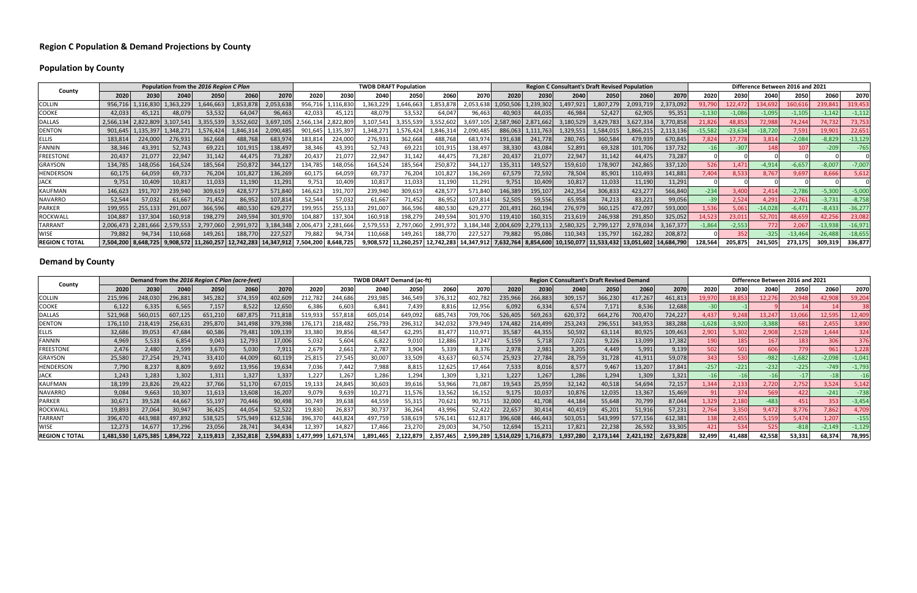### **Region C Population & Demand Projections by County**

## **Population by County**

#### **Demand by County** $\mathsf y$

|                       |           |           |           | Population from the 2016 Region C Plan |                           |            |           |           | <b>TWDB DRAFT Population</b> |            |            |            |           |                     | <b>Region C Consultant's Draft Revised Population</b> |            |            |            |          |           |           | Difference Between 2016 and 2021 |           |           |
|-----------------------|-----------|-----------|-----------|----------------------------------------|---------------------------|------------|-----------|-----------|------------------------------|------------|------------|------------|-----------|---------------------|-------------------------------------------------------|------------|------------|------------|----------|-----------|-----------|----------------------------------|-----------|-----------|
| County                | 2020      | 2030      | 2040      | 2050                                   | 2060                      | 2070       | 2020      | 2030      | 2040                         | 2050       | 2060       | 2070       | 2020      | 2030                | 2040                                                  | 2050       | 2060       | 2070       | 2020     | 2030      | 2040      | 2050                             | 2060      | 2070      |
| <b>COLLIN</b>         | 956,716   | ,116,830  | 1,363,229 | 1,646,663                              | ,853,878                  | 2,053,638  | 956,71    | 116,83    | L,363,229                    | 1,646,663  | 1,853,878  | 2,053,638  | 1,050,506 | 1,239,302           | 1,497,921                                             | 1,807,279  | 2,093,719  | 2,373,092  | 93,790   | 122,472   | 134,692   | 160,61                           | 239,841   | 319,453   |
| <b>COOKE</b>          | 42,033    | 45,121    | 48,079    | 53,532                                 | 64,047                    | 96,463     | 42,033    | 45,121    | 48,079                       | 53,532     | 64,047     | 96,463     | 40,903    | 44,035              | 46,984                                                | 52,427     | 62,905     | 95,351     | $-1,130$ | $-1,086$  | $-1,095$  | $-1,105$                         | $-1,142$  | $-1,112$  |
| <b>DALLAS</b>         | 2,566,134 | 2,822,809 | 3,107,541 | 3,355,539                              | 3,552,602                 | 3,697,105  | 2,566,134 | 2,822,809 | 3,107,541                    | 3,355,539  | 3,552,602  | 3,697,10   |           | 2,587,960 2,871,662 | 3,180,529                                             | 3,429,783  | 3,627,334  | 3,770,858  | 21,826   | 48,853    | 72,988    | 74,244                           | 74,732    | 73,753    |
| <b>DENTON</b>         | 901,645   | 1,135,397 | 1,348,271 | 1,576,424                              | 1,846,314                 | 2,090,485  | 901,645   | ,135,397  | 1,348,27                     | 1,576,424  | 1,846,314  | 2,090,485  | 886,063   | 1,111,763           | 1,329,551                                             | 1,584,015  | 1,866,215  | 2,113,136  | 15,582   | $-23,634$ | $-18,720$ | 7,591                            | 19,901    | 22,651    |
| <b>ELLIS</b>          | 183,814   | 224,000   | 276,931   | 362,668                                | 488,768                   | 683,974    | 183,814   | 224,000   | 276,931                      | 362,668    | 488,768    | 683,974    | 191,638   | 241,778             | 280,745                                               | 360,584    | 479,939    | 670,845    | 7,824    | 17,778    | 3,814     | $-2,084$                         | $-8,829$  | $-13,129$ |
| <b>FANNIN</b>         | 38,346    | 43,391    | 52,743    | 69,221                                 | 101,915                   | 138,497    | 38,346    | 43,391    | 52,743                       | 69,221     | 101,915    | 138,497    | 38,330    | 43,084              | 52,891                                                | 69,328     | 101,706    | 137,732    |          | $-307$    | 148       |                                  | $-209$    | $-765$    |
| <b>FREESTONE</b>      | 20,437    | 21,077    | 22,947    | 31,142                                 | 44,475                    | 73,287     | 20,437    | 21,077    | 22,947                       | 31,142     | 44,475     | 73,287     | 20,437    | 21,077              | 22,947                                                | 31,142     | 44,475     | 73,287     |          |           |           |                                  |           |           |
| <b>GRAYSON</b>        | 134,785   | 148,056   | 164,524   | 185,564                                | 250,872                   | 344,127    | 134,785   | 148,056   | 164,524                      | 185,564    | 250,872    | 344,127    | 135,311   | 149,527             | 159,610                                               | 178,907    | 242,865    | 337,120    | 526      | 1.471     | $-4,914$  | $-6,657$                         | $-8,007$  | $-7,007$  |
| HENDERSON             | 60,175    | 64,059    | 69,737    | 76,204                                 | 101,827                   | 136,269    | 60,175    | 64,059    | 69,737                       | 76,204     | 101,827    | 136,269    | 67,579    | 72,592              | 78,504                                                | 85,901     | 110,493    | 141,881    | 7,404    | 8,533     | 8,76      | 9,69                             | 8,666     | 5,612     |
| <b>JACK</b>           | 9,751     | 10,409    | 10,817    | 11,033                                 | 11,190                    | 11,291     | 9,751     | 10,409    | 10,81                        | 11,033     | 11,190     | 11,291     | 9,751     | 10,409              | 10,817                                                | 11,033     | 11,190     | 11,291     |          |           |           |                                  |           |           |
| <b>KAUFMAN</b>        | 146,623   | 191,707   | 239,940   | 309,619                                | 428,577                   | 571,840    | 146,623   | 191,707   | 239,940                      | 309,619    | 428,577    | 571,840    | 146,389   | 195,107             | 242,354                                               | 306,833    | 423,277    | 566,840    | $-234$   | 3,400     | 2,414     | $-2,786$                         | $-5,300$  | $-5,000$  |
| <b>NAVARRO</b>        | 52,544    | 57,032    | 61,667    | 71,452                                 | 86,952                    | 107,814    | 52,544    | 57,032    | 61,667                       | 71,452     | 86,952     | 107,814    | 52,505    | 59,556              | 65,958                                                | 74,213     | 83,221     | 99,056     | $-39$    | 2,524     | 4,29      | 2,761                            | $-3,731$  | $-8,758$  |
| <b>PARKER</b>         | 199,955   | 255,133   | 291,007   | 366,596                                | 480,530                   | 629,277    | 199,955   | 255,133   | 291,007                      | 366,596    | 480,530    | 629,277    | 201,491   | 260,194             | 276,979                                               | 360,125    | 472,097    | 593,000    | 1,536    | 5,061     | $-14,028$ | $-6,471$                         | $-8,433$  | $-36,277$ |
| <b>ROCKWALL</b>       | 104,887   | 137,304   | 160,918   | 198,279                                | 249,594                   | 301,970    | 104,887   | 137,304   | 160,918                      | 198,279    | 249,594    | 301,970    | 119,410   | 160,315             | 213,619                                               | 246,938    | 291,850    | 325,052    | 14,523   | 23,011    | 52,70     | 48,659                           | 42,256    | 23,082    |
| <b>TARRANT</b>        | 2,006,473 | 2,281,666 | 2,579,553 | 2,797,060                              | 2,991,972                 | 3,184,348  | 2.006.473 | 2,281,666 | 2,579,553                    | 2,797,060  | 2,991,972  | 3,184,348  | 2,004,609 | 2,279,113           | 2,580,32                                              | 2,799,127  | 2,978,034  | 3,167,377  | $-1,864$ | $-2,553$  | 772       | 2,067                            | $-13,938$ | $-16,971$ |
| <b>WISE</b>           | 79,882    | 94,734    | 110,668   | 149,261                                | 188,770                   | 227,527    | 79,882    | 94,734    | 110,668                      | 149,261    | 188,770    | 227,527    | 79,882    | 95,086              | 110,343                                               | 135,797    | 162,282    | 208,872    |          | 352       | $-325$    | $-13,464$                        | $-26,488$ | $-18,655$ |
| <b>REGION C TOTAL</b> | 7,504,200 | 8,648,725 | 9,908,572 |                                        | $11,260,257$   12,742,283 | 14,347,912 | 7,504,200 | 8,648,725 | 9,908,572                    | 11,260,257 | 12,742,283 | 14,347,912 | 7,632,764 | 8,854,600           |                                                       | 11,533,432 | 13.051.602 | 14,684,790 | 128,564  | 205,875   | 241,505   | 273,175                          | 309,319   | 336,877   |

| County                |           |           |           |         | Demand from the 2016 Region C Plan (acre-feet) |           |         |           | <b>TWDB DRAFT Demand (ac-ft)</b> |         |           |           |           |           |           | <b>Region C Consultant's Draft Revised Demand</b> |           |           |          |          |          | Difference Between 2016 and 2021 |          |          |
|-----------------------|-----------|-----------|-----------|---------|------------------------------------------------|-----------|---------|-----------|----------------------------------|---------|-----------|-----------|-----------|-----------|-----------|---------------------------------------------------|-----------|-----------|----------|----------|----------|----------------------------------|----------|----------|
|                       | 2020      | 2030      | 2040      | 2050    | 2060                                           | 2070      | 2020    | 2030      | 2040                             | 2050    | 2060      | 2070      | 2020      | 2030      | 2040      | 2050                                              | 2060      | 2070      | 2020     | 2030     | 2040     | 2050                             | 2060     | 2070     |
| <b>COLLIN</b>         | 215,996   | 248,030   | 296,881   | 345,282 | 374,359                                        | 402,609   | 212,782 | 244,686   | 293,985                          | 346,549 | 376,312   | 402,782   | 235,966   | 266,883   | 309,157   | 366,230                                           | 417,267   | 461,813   | 19,970   | 18,853   | 12,276   | 20,948                           | 42,908   | 59,204   |
| <b>COOKE</b>          | 6,122     | 6,335     | 6,565     | 7,157   | 8,522                                          | 12,650    | 6,386   | 6,603     | 6.841                            | 7.439   | 8,816     | 12,956    | 6,092     | 6,334     | 6,574     | 7,171                                             | 8,536     | 12,688    | $-30$    |          |          |                                  |          |          |
| <b>DALLAS</b>         | 521,968   | 560,015   | 607,125   | 651,210 | 687,875                                        | 711,818   | 519.93  | 557,818   | 605,014                          | 649,092 | 685,743   | 709,706   | 526,405   | 569,263   | 620,372   | 664,276                                           | 700,470   | 724,227   | 4,437    | 9,248    | 13,24    | 13,066                           | 12,595   | 12,409   |
| <b>DENTON</b>         | 176,110   | 218,419   | 256,631   | 295,870 | 341,498                                        | 379,398   | 176,17  | 218,482   | 256,793                          | 296,312 | 342,032   | 379,949   | 174,482   | 214,499   | 253,243   | 296,551                                           | 343,953   | 383,288   | $-1,628$ | $-3,920$ | $-3,388$ | 681                              | 2,455    | 3,890    |
| <b>ELLIS</b>          | 32,686    | 39,053    | 47,684    | 60,586  | 79,481                                         | 109,139   | 33,380  | 39,856    | 48,547                           | 62,295  | 81,477    | 110,971   | 35,587    | 44,355    | 50,592    | 63,114                                            | 80,925    | 109,463   | 2,901    | 5,302    | 2,908    | 2,528                            | 1,444    | 324      |
| <b>FANNIN</b>         | 4,969     | 5,533     | 6,854     | 9,043   | 12,793                                         | 17,006    | 5,032   | 5,604     | 6,822                            | 9,01L   | 12,886    | 17,247    | 5,159     | 5,718     | 7,021     | 9,226                                             | 13,099    | 17,382    | 190      | 185      | 167      | 183                              | 306      | 376      |
| <b>FREESTONE</b>      | 2,476     | 2,480     | 2,599     | 3,670   | 5,030                                          | 7,911     | 2,679   | 2,661     | 2,787                            | 3,904   | 5,339     | 8,376     | 2,978     | 2,981     | 3,205     | 4,449                                             | 5,991     | 9,139     | 502      | 501      | 606      | 779                              | 961      | 1,228    |
| <b>GRAYSON</b>        | 25,580    | 27,254    | 29.741    | 33,410  | 44,009                                         | 60,119    | 25,815  | 27,545    | 30,007                           | 33,509  | 43,637    | 60,574    | 25,923    | 27,784    | 28,759    | 31,728                                            | 41,911    | 59,078    | 343      | 530      | $-982$   | $-1,682$                         | $-2,098$ | $-1,041$ |
| <b>HENDERSON</b>      | 7,790     | 8,237     | 8,809     | 9,692   | 13,956                                         | 19,634    | 7.036   | 7.442     | 7,988                            | 8,815   | 12,625    | 17,464    | 7,533     | 8,016     | 8,577     | 9,467                                             | 13,207    | 17,841    | $-257$   | $-221$   | $-232$   | $-225$                           | $-749$   | $-1,793$ |
| <b>JACK</b>           | 1,243     | 1,283     | 1,302     | 1,311   | 1,327                                          | 1,337     | 1,227   | 1,267     | 1,286                            | 1,294   | 1,309     | 1,321     | 1,227     | 1,267     | 1,286     | 1,294                                             | 1,309     | 1,321     |          |          |          |                                  |          |          |
| <b>KAUFMAN</b>        | 18,199    | 23,826    | 29,422    | 37,766  | 51,170                                         | 67,015    | 19,133  | 24,845    | 30,603                           | 39,616  | 53,966    | 71,087    | 19,543    | 25,959    | 32,142    | 40,518                                            | 54,694    | 72,157    | 1,344    | 2,133    | 2,720    | 2,752                            | 3,524    | 5,142    |
| <b>NAVARRO</b>        | 9,084     | 9,663     | 10,307    | 11,613  | 13,608                                         | 16,207    | 9,079   | 9,639     | 10,27                            | 11,576  | 13,562    | 16,152    | 9,175     | 10,037    | 10,876    | 12,035                                            | 13,367    | 15,469    |          | 374      | 569      | 422                              | $-241$   | $-738$   |
| <b>PARKER</b>         | 30,671    | 39,528    | 44,667    | 55,197  | 70,446                                         | 90,498    | 30,749  | 39,638    | 44,559                           | 55,315  | 70,621    | 90,715    | 32,000    | 41,708    | 44,184    | 55,648                                            | 70,799    | 87,044    | 1,329    | 2,180    | $-483$   | 451                              | 353      | $-3,454$ |
| ROCKWALL              | 19,893    | 27,064    | 30,947    | 36,425  | 44,054                                         | 52,522    | 19,830  | 26,837    | 30,737                           | 36,264  | 43,996    | 52,422    | 22,657    | 30,414    | 40,419    | 45,201                                            | 51,916    | 57,231    | 2,764    | 3,350    | 9,472    | 8,776                            | 7,862    | 4,709    |
| <b>TARRANT</b>        | 396,470   | 443,988   | 497,892   | 538,525 | 575,949                                        | 612,536   | 396,37  | 443,824   | 497,759                          | 538,619 | 576,141   | 612,817   | 396,608   | 446,443   | 503,051   | 543,999                                           | 577,156   | 612,381   | 138      | 2,455    | 5,159    | 5,474                            | 1,207    | $-155$   |
| <b>WISE</b>           | 12,273    | 14,677    | 17,296    | 23,056  | 28,741                                         | 34,434    | 12,39   | 14,827    | 17,466                           | 23,270  | 29,003    | 34,750    | 12,694    | 15,211    | 17,821    | 22,238                                            | 26,592    | 33,305    | 421      | 534      | 525      | $-818$                           | $-2,149$ | $-1,129$ |
| <b>REGION C TOTAL</b> | 1,481,530 | 1,675,385 | 1,894,722 |         | 2,352,818                                      | 2,594,833 |         | 1,671,574 | 1,891,465                        |         | 2,357,465 | 2,599,289 | 1,514,029 | 1,716,873 | 1,937,280 | 2,173,144                                         | 2,421,192 | 2,673,828 | 32,499   | 41.488   | 42,558   | 53,331                           | 68.37    | 78,995   |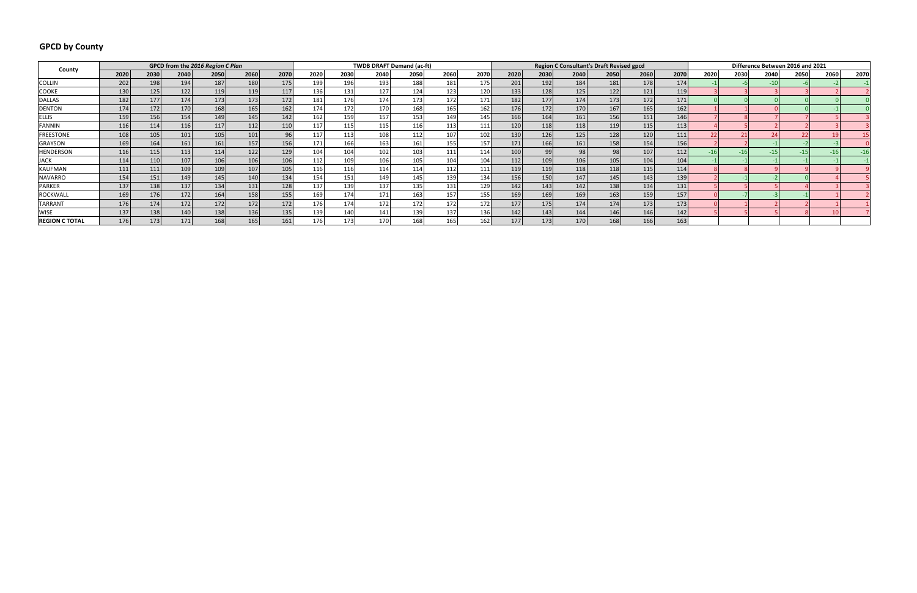## **GPCD by County**

| County                |      |      | GPCD from the 2016 Region C Plan |      |                  |      |      |      |                  | <b>TWDB DRAFT Demand (ac-ft)</b> |                  |      |       |      |      | <b>Region C Consultant's Draft Revised gpcd</b> |      |      |      |      | Difference Between 2016 and 2021 |      |      |      |
|-----------------------|------|------|----------------------------------|------|------------------|------|------|------|------------------|----------------------------------|------------------|------|-------|------|------|-------------------------------------------------|------|------|------|------|----------------------------------|------|------|------|
|                       | 2020 | 2030 | 2040                             | 2050 | 2060             | 2070 | 2020 | 2030 | 2040             | 2050                             | 2060             | 2070 | 2020  | 2030 | 2040 | 2050                                            | 2060 | 2070 | 2020 | 2030 | 2040                             | 2050 | 2060 | 2070 |
| <b>COLLIN</b>         | 202  | 198  | 194                              | 187  | 180              | 175  | 199  | 196  | 193              | 188                              | 181              | 175  | 201   | 192  | 184  | 181                                             | 178  | 174  |      |      |                                  |      |      |      |
| <b>COOKE</b>          | 130  | 125  | 122                              | 119  | 119              | 117  | 136  | 131  | 127              | 124                              | 123              | 120  | 133   | 128  | 125  | 122                                             | 121  | 119  |      |      |                                  |      |      |      |
| <b>DALLAS</b>         | 182  | 177  | 174                              | 173  | 173              | 172  | 181  | 176  | 174              | 173                              | 172              | 171  | 182   | 177  | 174  | 173                                             | 172  | 171  |      |      |                                  |      |      |      |
| <b>DENTON</b>         | 174  | 172  | 170                              | 168  | 165              | 162  | 174  | 172  | 170              | 168                              | 165              | 162  | 176   | 172  | 170  | 167                                             | 165  | 162  |      |      |                                  |      |      |      |
| <b>ELLIS</b>          | 159  | 156  | 154                              | 149  | 145              | 142  | 162  | 159  | 157              | 153                              | 149              | 145  | 166   | 164  | 161  | 156                                             | 151  | 146  |      |      |                                  |      |      |      |
| <b>FANNIN</b>         | 116  | 114  | 116                              | 117  | 112              | 110  | 117  | 115  | 115 <sub>1</sub> | 116                              | 113              | 111  | 120   | 118  | 118  | 119                                             | 115  | 113  |      |      |                                  |      |      |      |
| <b>FREESTONE</b>      | 108  | 105  | 101                              | 105  | 101 <sub>1</sub> | 96   | 117  | 113  | 108              | 112                              | 107              | 102  | 130   | 126  | 125  | 128                                             | 120  | 111  |      |      |                                  |      |      |      |
| <b>GRAYSON</b>        | 169  | 164  | 161                              | 161  | 157              | 156  | 171  | 166  | 163              | 161                              | 155              | 157  | 171   | 166  | 161  | 158                                             | 154  | 156  |      |      |                                  |      |      |      |
| <b>HENDERSON</b>      | 116  | 115  | 113                              | 114  | 122              | 129  | 104  | 104  | 102              | 103                              | 111              | 114  | 100   | 99   | 98   | 98                                              | 107  | 112  |      |      |                                  |      |      |      |
| <b>JACK</b>           | 114  | 110  | 107                              | 106  | 106              | 106  | 112  | 109  | 106              | 105                              | 104              | 104  | 112   | 109  | 106  | 105                                             | 104  | 104  |      |      |                                  |      |      |      |
| KAUFMAN               | 111  | 111  | 109                              | 109  | 107              | 105  | 116  | 116  | 114              | 114                              | 112.             | 111  | 119   | 119  | 118  | 118                                             | 115  | 114  |      |      |                                  |      |      |      |
| <b>NAVARRO</b>        | 154  | 151  | 149                              | 145  | 140              | 134  | 154  | 151) | 149              | 145                              | 139              | 134  | 156   | 150  | 147  | 145                                             | 143  | 139  |      |      |                                  |      |      |      |
| <b>PARKER</b>         | 137  | 138  | 137                              | 134  | 131              | 128  | 137  | 139  | 137              | 135                              | 131              | 129  | 142   | 143  | 142  | 138                                             | 134  | 131  |      |      |                                  |      |      |      |
| <b>ROCKWALL</b>       | 169  | 176  | 172                              | 164  | 158              | 155  | 169  | 174  | 171              | 163                              | 157              | 155  | 169   | 169  | 169  | 163                                             | 159  | 157  |      |      |                                  |      |      |      |
| <b>TARRANT</b>        | 176  | 174  | 172                              | 172  | 172              | 172  | 176  | 174  | 172              | 172                              | 172 <sub>1</sub> | 172  | 177   | 175  | 174  | 174                                             | 173  | 173  |      |      |                                  |      |      |      |
| <b>WISE</b>           | 137  | 138  | 140                              | 138  | 136              | 135  | 139  | 140  | 141              | 139                              | 137              | 136  | 142   | 143  | 144  | 146                                             | 146  | 142  |      |      |                                  |      |      |      |
| <b>REGION C TOTAL</b> | 176  | 173  | 171                              | 168  | 165              | 161  | 176  | 173  | 170              | 168                              | 165              | 162  | 177 l | 173  | 170  | 168                                             | 166  | 1631 |      |      |                                  |      |      |      |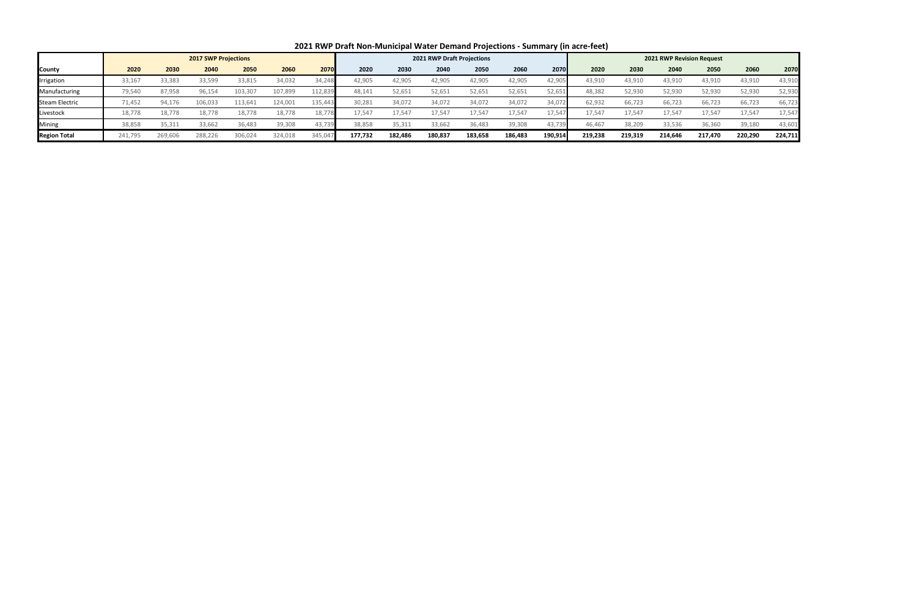|                       |         |         |                             |         |         |         |         |         |                                   |         |         | . .     |         |         |                                  |         |         |         |
|-----------------------|---------|---------|-----------------------------|---------|---------|---------|---------|---------|-----------------------------------|---------|---------|---------|---------|---------|----------------------------------|---------|---------|---------|
|                       |         |         | <b>2017 SWP Projections</b> |         |         |         |         |         | <b>2021 RWP Draft Projections</b> |         |         |         |         |         | <b>2021 RWP Revision Request</b> |         |         |         |
| <b>County</b>         | 2020    | 2030    | 2040                        | 2050    | 2060    | 2070    | 2020    | 2030    | 2040                              | 2050    | 2060    | 2070    | 2020    | 2030    | 2040                             | 2050    | 2060    | 2070    |
| Irrigation            | 33,167  | 33,385  | 33,599                      | 33,815  | 34,032  | 34,248  | 42,905  | 42,905  | 42,905                            | 42,905  | 42,905  | 42,905  | 43,910  | 43,910  | 43,910                           | 43,910  | 43,910  | 43,910  |
| Manufacturing         | 79,540  | 87,958  | 96,154                      | 103,307 | 107,899 | 112,839 | 48,141  | 52,651  | 52,651                            | 52,651  | 52,651  | 52,651  | 48.382  | 52,930  | 52,930                           | 52,930  | 52,930  | 52,930  |
| <b>Steam Electric</b> | 71,452  | 94,176  | 106,033                     | 113,641 | 124,001 | 135,443 | 30,281  | 34,072  | 34,072                            | 34,072  | 34,072  | 34,072  | 62,932  | 66,723  | 66,723                           | 66,723  | 66,723  | 66,723  |
| Livestock             | 18,778  | 18,778  | 18,778                      | 18,778  | 18,778  | 18,778  | 17,547  | 17,547  | 17,547                            | 17,547  | 17,547  | 17,547  | 17.54   | 17,547  | 17,547                           | 17,547  | 17,547  | 17,547  |
| Mining                | 38,858  | 35,311  | 33,662                      | 36,483  | 39,308  | 43,739  | 38,858  | 35,311  | 33,662                            | 36,483  | 39,308  | 43,739  | 46,467  | 38,209  | 33,536                           | 36,360  | 39,180  | 43,601  |
| <b>Region Total</b>   | 241,795 | 269,606 | 288,226                     | 306,024 | 324,018 | 345,047 | 177,732 | 182,486 | 180,837                           | 183,658 | 186,483 | 190,914 | 219,238 | 219,319 | 214,646                          | 217,470 | 220,290 | 224,711 |

| 2021 RWP Draft Non-Municipal Water Demand Projections - Summary (in acre-feet) |  |  |
|--------------------------------------------------------------------------------|--|--|
|--------------------------------------------------------------------------------|--|--|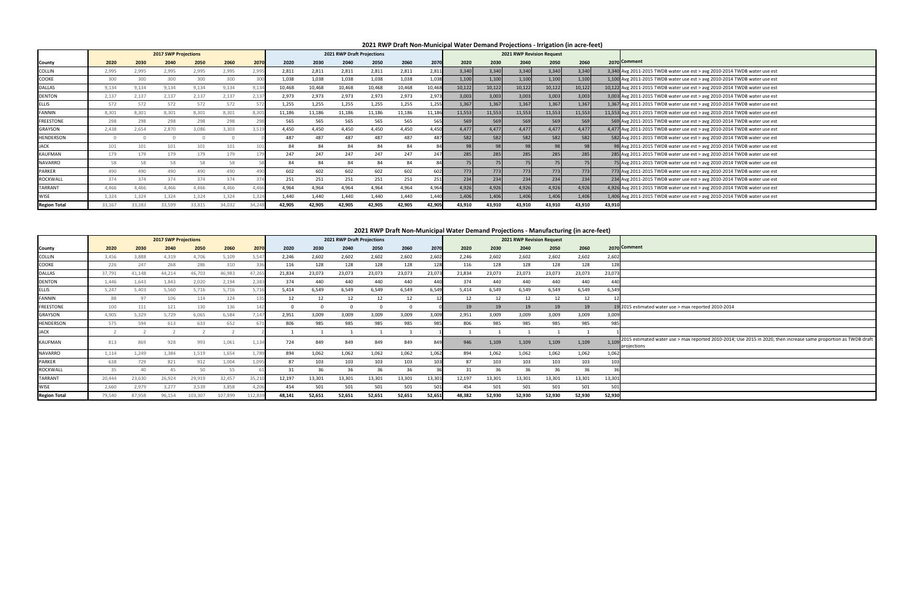|                     |        |        | <b>2017 SWP Projections</b> |         |         |         |        |        | 2021 RWP Draft Projections |        |          |        |        |        | 2021 RWP Revision Request |        |        |        |                                        |
|---------------------|--------|--------|-----------------------------|---------|---------|---------|--------|--------|----------------------------|--------|----------|--------|--------|--------|---------------------------|--------|--------|--------|----------------------------------------|
| County              | 2020   | 2030   | 2040                        | 2050    | 2060    | 2070    | 2020   | 2030   | 2040                       | 2050   | 2060     | 2070   | 2020   | 2030   | 2040                      | 2050   | 2060   |        | 2070 Comment                           |
| COLLIN              | 3,456  | 3,888  | 4,319                       | 4,706   | 5,109   | 5,547   | 2,246  | 2,602  | 2,602                      | 2,602  | 2,602    | 2,602  | 2,246  | 2,602  | 2,602                     | 2,602  | 2,602  | 2,602  |                                        |
| COOKE               | 226    | 247    | 268                         | 286     | 310     | 336     | 116    | 128    | 128                        | 128    | 128      | 128    | 116    | 128    | 128                       | 128    | 128    | 128    |                                        |
| <b>DALLAS</b>       | 37,791 | 41,148 | 44,214                      | 46,703  | 46,983  | 47,26   | 21,834 | 23,073 | 23,073                     | 23,073 | 23,073   | 23,073 | 21,834 | 23,073 | 23,073                    | 23,073 | 23,073 | 23,073 |                                        |
| DENTON              | 1,446  | 1,643  | 1,843                       | 2,020   | 2,194   | 2,383   | 374    | 440    | 440                        | 440    | 440      | 440    | 374    | 440    | 440                       | 440    | 440    | 440    |                                        |
| <b>ELLIS</b>        | 5,247  | 5.403  | 5.560                       | 5,716   | 5,716   | 5,71    | 5.414  | 6,549  | 6,549                      | 6,549  | 6.549    | 6,549  | 5,414  | 6.549  | 6.549                     | 6,549  | 6,549  | 6,549  |                                        |
| FANNIN              | 88     | 97     | 106                         | 114     | 124     | 135     | 12     | 12     | 12                         | 12     | 12       |        | 12     | 12     | 12                        | 12     | 12     |        |                                        |
| FREESTONE           | 100    | 111    | 121                         | 130     | 136     | 142     |        |        | $\Omega$                   | 0      | $\Omega$ |        | 19     | 19     | 19                        | 19     | 19     |        | 19 2015 estimated water use            |
| GRAYSON             | 4,905  | 5,329  | 5,729                       | 6,065   | 6,584   | 7,147   | 2,951  | 3,009  | 3,009                      | 3,009  | 3,009    | 3,009  | 2,951  | 3,009  | 3,009                     | 3,009  | 3,009  | 3,009  |                                        |
| <b>HENDERSON</b>    | 575    | 594    | 613                         | 633     | 652     | 671     | 806    | 985    | 985                        | 985    | 985      | 985    | 806    | 985    | 985                       | 985    | 985    | 985    |                                        |
| <b>ACK</b>          |        |        |                             |         |         |         |        |        |                            |        |          |        |        |        |                           |        |        |        |                                        |
| KAUFMAN             | 813    | 869    | 928                         | 993     | 1,061   | 1,13    | 724    | 849    | 849                        | 849    | 849      | 849    | 946    | 1,109  | 1,109                     | 1,109  | 1,109  | 1.109  | 2015 estimated water us<br>projections |
| <b>NAVARRO</b>      | 1,114  | 1,249  | 1,384                       | 1,519   | 1,654   | 1,789   | 894    | 1,062  | 1,062                      | 1,062  | 1,062    | 1,062  | 894    | 1,062  | 1,062                     | 1,062  | 1,062  | 1,062  |                                        |
| PARKER              | 638    | 729    | 821                         | 912     | 1,004   | 1,09    | 87     | 103    | 103                        | 103    | 103      | 103    | 87     | 103    | 103                       | 103    | 103    | 103    |                                        |
| ROCKWALL            | 35     | 40     | 45                          | 50      | 55      |         | 31     | 36     | 36                         | 36     | 36       | 36     | 31     | 36     | 36                        | 36     | 36     |        |                                        |
| <b>TARRANT</b>      | 20,444 | 23,630 | 26,924                      | 29,919  | 32,457  | 35,21   | 12,197 | 13,301 | 13,301                     | 13,301 | 13,301   | 13,301 | 12,197 | 13,301 | 13,301                    | 13,301 | 13,301 | 13,301 |                                        |
| WISE                | 2,660  | 2,979  | 3.277                       | 3,539   | 3,858   | 4,206   | 454    | 501    | 501                        | 501    | 501      | 501    | 454    | 501    | 501                       | 501    | 501    | 501    |                                        |
| <b>Region Total</b> | 79,540 | 87,958 | 96,154                      | 103,307 | 107,899 | 112,839 | 48,141 | 52,651 | 52,651                     | 52,651 | 52,651   | 52,651 | 48,382 | 52,930 | 52,930                    | 52,930 | 52,930 | 52,930 |                                        |

se > max reported 2010-2014 se > max reported 2010-2014; Use 2015 in 2020, then increase same proportion as TWDB draft projections as TWDB draft projections as TWDB draft projections as TWDB draft projections.

|                     |        |        |                             |        |        |       |        |        |                            |        |        |        | <u>zuzi wee Dialtholi-Mullicipal eelde Dellianu Frojections - illigation (ill acie-leet)</u> |        |                           |        |        |              |                                                                            |
|---------------------|--------|--------|-----------------------------|--------|--------|-------|--------|--------|----------------------------|--------|--------|--------|----------------------------------------------------------------------------------------------|--------|---------------------------|--------|--------|--------------|----------------------------------------------------------------------------|
|                     |        |        | <b>2017 SWP Projections</b> |        |        |       |        |        | 2021 RWP Draft Projections |        |        |        |                                                                                              |        | 2021 RWP Revision Request |        |        |              |                                                                            |
| County              | 2020   | 2030   | 2040                        | 2050   | 2060   | 2070  | 2020   | 2030   | 2040                       | 2050   | 2060   | 2070   | 2020                                                                                         | 2030   | 2040                      | 2050   | 2060   | 2070 Comment |                                                                            |
| <b>COLLIN</b>       | 2,995  | 2,995  | 2,995                       | 2,995  | 2,995  | 2,995 | 2,811  | 2,811  | 2,811                      | 2,811  | 2,811  | 2,811  | 3,340                                                                                        | 3,340  | 3,340                     | 3,340  | 3,340  |              | 3,340 Avg 2011-2015 TWDB water use est > avg 2010-2014 TWDB water use est  |
| <b>COOKE</b>        | 300    | 300    | 300                         | 300    | 300    |       | 1,038  | 1,038  | 1,038                      | 1,038  | 1,038  | 1,038  | 1,100                                                                                        | 1,100  | 1,100                     | 1,100  | 1,100  |              | 1,100 Avg 2011-2015 TWDB water use est > avg 2010-2014 TWDB water use est  |
| <b>DALLAS</b>       | 9,134  | 9,134  | 9,134                       | 9,134  | 9,134  |       | 10,468 | 10,468 | 10,468                     | 10,468 | 10,468 | 10,468 | 10,122                                                                                       | 10,122 | 10,122                    | 10,122 | 10,122 |              | 10,122 Avg 2011-2015 TWDB water use est > avg 2010-2014 TWDB water use est |
| <b>DENTON</b>       | 2,137  | 2,137  | 2,137                       | 2,137  | 2,137  | 2,13  | 2,973  | 2,973  | 2,973                      | 2,973  | 2,973  | 2,973  | 3,003                                                                                        | 3,003  | 3,003                     | 3,003  | 3,003  |              | 3,003 Avg 2011-2015 TWDB water use est > avg 2010-2014 TWDB water use est  |
| <b>ELLIS</b>        | 572    | 572    | 572                         | 572    | 572    |       | 1,255  | 1,255  | 1,255                      | 1,255  | 1,255  | 1,255  | 1,367                                                                                        | 1,367  | 1,367                     | 1,367  | 1,367  |              | 1,367 Avg 2011-2015 TWDB water use est > avg 2010-2014 TWDB water use est  |
| <b>FANNIN</b>       | 8,301  | 8,301  | 8,301                       | 8,301  | 8,301  |       | 11,186 | 11,186 | 11,186                     | 11,186 | 11,186 | 11,18  | 11,553                                                                                       | 11,553 | 11,553                    | 11,553 | 11,553 |              | 11,553 Avg 2011-2015 TWDB water use est > avg 2010-2014 TWDB water use est |
| <b>FREESTONE</b>    | 298    | 298    | 298                         | 298    | 298    |       | 565    | 565    | 565                        | 565    | 565    | 565    | 569                                                                                          | 569    | 569                       | 569    | 569    |              | 569 Avg 2011-2015 TWDB water use est > avg 2010-2014 TWDB water use est    |
| GRAYSON             | 2,438  | 2,654  | 2,870                       | 3,086  | 3,303  | 3,519 | 4,450  | 4,450  | 4,450                      | 4,450  | 4,450  | 4,450  | 4,477                                                                                        | 4,477  | 4,477                     | 4,477  | 4,477  |              | 4,477 Avg 2011-2015 TWDB water use est > avg 2010-2014 TWDB water use est  |
| <b>HENDERSON</b>    |        |        |                             |        |        |       | 487    | 487    | 487                        | 487    | 487    | 487    | 582                                                                                          | 582    | 582                       | 582    | 582    |              | 582 Avg 2011-2015 TWDB water use est > avg 2010-2014 TWDB water use est    |
| <b>JACK</b>         | 101    | 101    | 101                         | 101    | 101    |       | 84     | 84     | 84                         | 84     | 84     |        |                                                                                              |        |                           | 98     | 98     |              | 98 Avg 2011-2015 TWDB water use est > avg 2010-2014 TWDB water use est     |
| <b>KAUFMAN</b>      | 179    | 179    | 179                         | 179    | 179    |       | 247    | 247    | 247                        | 247    | 247    | 247    | 285                                                                                          | 285    | 285                       | 285    | 285    |              | 285 Avg 2011-2015 TWDB water use est > avg 2010-2014 TWDB water use est    |
| NAVARRO             | 58     | 58     | 58                          | 58     | 58     |       | 84     | 84     | 84                         | 84     | 84     |        |                                                                                              |        | 75                        | 75     |        |              | 75 Avg 2011-2015 TWDB water use est > avg 2010-2014 TWDB water use est     |
| <b>PARKER</b>       | 490    | 490    | 490                         | 490    | 490    |       | 602    | 602    | 602                        | 602    | 602    | 602    | 773                                                                                          | 773    | 773                       | 773    | 773    |              | 773 Avg 2011-2015 TWDB water use est > avg 2010-2014 TWDB water use est    |
| ROCKWALL            | 374    | 374    | 374                         | 374    | 374    |       | 251    | 251    | 251                        | 251    | 251    | 251    | 234                                                                                          | 234    | 234                       | 234    | 234    |              | 234 Avg 2011-2015 TWDB water use est > avg 2010-2014 TWDB water use est    |
| TARRANT             | 4,466  | 4,466  | 4,466                       | 4,466  | 4,466  | 4.46  | 4,964  | 4,964  | 4,964                      | 4,964  | 4,964  | 4,964  | 4,926                                                                                        | 4,926  | 4,926                     | 4,926  | 4,926  |              | 4,926 Avg 2011-2015 TWDB water use est > avg 2010-2014 TWDB water use est  |
| <b>WISE</b>         | 1,324  | 1,324  | 1,324                       | 1,324  | 1,324  |       | 1,440  | 1,440  | 1,440                      | 1,440  | 1,440  | 1,440  | 1,406                                                                                        | 1,406  | 1,406                     | 1,406  | 1,406  |              | 1,406 Avg 2011-2015 TWDB water use est > avg 2010-2014 TWDB water use est  |
| <b>Region Total</b> | 33,167 | 33,383 | 33,599                      | 33,815 | 34,032 | 34,24 | 42,905 | 42,905 | 42,905                     | 42,905 | 42,905 | 42,905 | 43,910                                                                                       | 43,910 | 43,910                    | 43,910 | 43,910 | 43,910       |                                                                            |

### **2021 RWP Draft Non-Municipal Water Demand Projections - Irrigation (in acre-feet)**

### **2021 RWP Draft Non-Municipal Water Demand Projections - Manufacturing (in acre-feet)**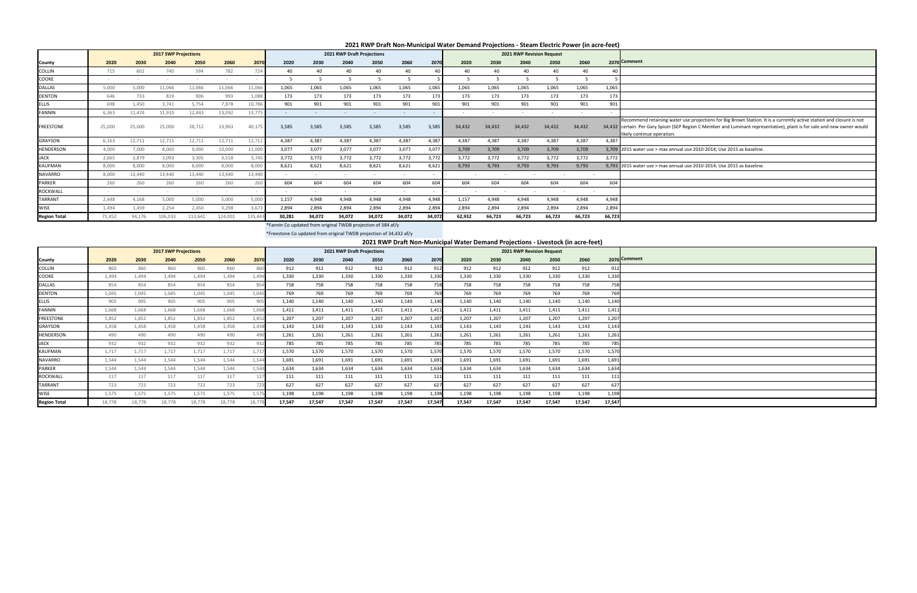ater use projections for Big Brown Station. It is a currently active station and closure is not certain. Per Gary Spicer (SEP Region C Member and Luminant representative), plant is for sale and new owner would

 $n$ ual use 2010-2014; Use 2015 as baseline.

nual use 2010-2014; Use 2015 as baseline.

\*Fannin Co updated from original TWDB projection of 384 af/y

\*Freestone Co updated from original TWDB projection of 34,432 af/y

|                     |        |        |                             |         |         |         |        |        |                            |        |                          |        |        |        |                           |                          | <u>zuzi ilmer Drammunikalan alama Demanu Frujethum - Steam Liethit Fuwer (in atle-leet)</u> |        |                                                                                          |
|---------------------|--------|--------|-----------------------------|---------|---------|---------|--------|--------|----------------------------|--------|--------------------------|--------|--------|--------|---------------------------|--------------------------|---------------------------------------------------------------------------------------------|--------|------------------------------------------------------------------------------------------|
|                     |        |        | <b>2017 SWP Projections</b> |         |         |         |        |        | 2021 RWP Draft Projections |        |                          |        |        |        | 2021 RWP Revision Request |                          |                                                                                             |        |                                                                                          |
| County              | 2020   | 2030   | 2040                        | 2050    | 2060    | 2070    | 2020   | 2030   | 2040                       | 2050   | 2060                     | 2070   | 2020   | 2030   | 2040                      | 2050                     | 2060                                                                                        |        | 2070 Comment                                                                             |
| <b>COLLIN</b>       | 715    | 602    | 740                         | 594     | 782     | 724     | 40     | 40     | 40                         | 40     | 40                       | 40     | 40     | 40     | 40                        | 40                       | 40                                                                                          | 40     |                                                                                          |
| COOKE               |        |        |                             |         |         |         |        |        | .5                         | 5      | -5                       |        | -5     | 5      | -5                        | .5                       | 5                                                                                           |        |                                                                                          |
| <b>DALLAS</b>       | 5,000  | 5,000  | 11,066                      | 11,066  | 11,066  | 11,066  | 1,065  | 1,065  | 1,065                      | 1,065  | 1,065                    | 1,065  | 1,065  | 1,065  | 1,065                     | 1,065                    | 1,065                                                                                       | 1,065  |                                                                                          |
| <b>DENTON</b>       | 646    | 733    | 819                         | 906     | 993     | 1,088   | 173    | 173    | 173                        | 173    | 173                      | 173    | 173    | 173    | 173                       | 173                      | 173                                                                                         | 173    |                                                                                          |
| <b>ELLIS</b>        | 698    | 1,450  | 3,741                       | 5,754   | 7,878   | 10,786  | 901    | 901    | 901                        | 901    | 901                      | 901    | 901    | 901    | 901                       | 901                      | 901                                                                                         | 901    |                                                                                          |
| <b>FANNIN</b>       | 6,363  | 11,474 | 11,910                      | 12,443  | 13,092  | 13,775  |        |        |                            |        |                          |        |        |        | $\overline{\phantom{a}}$  | $\overline{\phantom{a}}$ | $\sim$                                                                                      |        |                                                                                          |
| <b>FREESTONE</b>    | 25,000 | 25,000 | 25,000                      | 28,712  | 33,963  | 40,175  | 3,585  | 3,585  | 3,585                      | 3,585  | 3,585                    | 3,585  | 34,432 | 34,432 | 34,432                    | 34,432                   | 34,432                                                                                      |        | Recommend retaining wa<br>34,432 certain. Per Gary Spicer (<br>likely continue operation |
| <b>GRAYSON</b>      | 6,163  | 12,711 | 12,711                      | 12,711  | 12,711  | 12,711  | 4,387  | 4,387  | 4,387                      | 4,387  | 4,387                    | 4,387  | 4,387  | 4,387  | 4,387                     | 4,387                    | 4,387                                                                                       | 4,387  |                                                                                          |
| HENDERSON           | 4,000  | 7,000  | 8,000                       | 9,000   | 10,000  | 11,000  | 3,077  | 3,077  | 3,077                      | 3,077  | 3,077                    | 3.077  | 3,709  | 3,709  | 3.709                     | 3,709                    | 3,709                                                                                       |        | 3.709 2015 water use $>$ max an                                                          |
| JACK                | 2,665  | 2,879  | 3,092                       | 3,305   | 3,518   | 3,745   | 3,772  | 3,772  | 3,772                      | 3,772  | 3,772                    | 3,772  | 3,772  | 3,772  | 3,772                     | 3,772                    | 3,772                                                                                       | 3,772  |                                                                                          |
| KAUFMAN             | 8,000  | 8,000  | 8,000                       | 8,000   | 8,000   | 8,000   | 8,621  | 8,621  | 8,621                      | 8,621  | 8,621                    | 8,621  | 9,793  | 9,793  | 9.793                     | 9,793                    | 9,793                                                                                       |        | 9,793 2015 water use > max an                                                            |
| <b>NAVARRO</b>      | 8,000  | 13,440 | 13,440                      | 13,440  | 13,440  | 13,440  |        |        | $\overline{\phantom{a}}$   |        | $\overline{\phantom{a}}$ |        |        |        |                           |                          |                                                                                             |        |                                                                                          |
| <b>PARKER</b>       | 260    | 260    | 260                         | 260     | 260     | 260     | 604    | 604    | 604                        | 604    | 604                      | 604    | 604    | 604    | 604                       | 604                      | 604                                                                                         | 604    |                                                                                          |
| <b>ROCKWALL</b>     |        |        | $\sim$                      |         |         |         |        |        | $\overline{\phantom{a}}$   |        |                          |        |        |        |                           |                          |                                                                                             |        |                                                                                          |
| TARRANT             | 2,448  | 4,168  | 5,000                       | 5,000   | 5,000   | 5,000   | 1,157  | 4,948  | 4,948                      | 4,948  | 4,948                    | 4.948  | 1,157  | 4,948  | 4,948                     | 4,948                    | 4,948                                                                                       | 4,948  |                                                                                          |
| <b>WISE</b>         | 1,494  | 1,459  | 2,254                       | 2,450   | 3,298   | 3,673   | 2,894  | 2,894  | 2,894                      | 2,894  | 2,894                    | 2,894  | 2,894  | 2,894  | 2,894                     | 2,894                    | 2,894                                                                                       | 2,894  |                                                                                          |
| <b>Region Total</b> | 71,452 | 94,176 | 106,033                     | 113,641 | 124,001 | 135,443 | 30,281 | 34,072 | 34,072                     | 34,072 | 34,072                   | 34,072 | 62,932 | 66,723 | 66,723                    | 66,723                   | 66,723                                                                                      | 66,723 |                                                                                          |

|                     |        |        |                             |        |        |        |        |        |                            |        | 2021 RWP Draft Non-Municipal Water Demand Projections - Livestock (in acre-feet) |        |        |        |                           |        |        |        |              |
|---------------------|--------|--------|-----------------------------|--------|--------|--------|--------|--------|----------------------------|--------|----------------------------------------------------------------------------------|--------|--------|--------|---------------------------|--------|--------|--------|--------------|
|                     |        |        | <b>2017 SWP Projections</b> |        |        |        |        |        | 2021 RWP Draft Projections |        |                                                                                  |        |        |        | 2021 RWP Revision Request |        |        |        |              |
| County              | 2020   | 2030   | 2040                        | 2050   | 2060   | 2070   | 2020   | 2030   | 2040                       | 2050   | 2060                                                                             | 2070   | 2020   | 2030   | 2040                      | 2050   | 2060   |        | 2070 Comment |
| COLLIN              | 860    | 860    | 860                         | 860    | 860    | 860    | 912    | 912    | 912                        | 912    | 912                                                                              | 912    | 912    | 912    | 912                       | 912    | 912    | 912    |              |
| COOKE               | 1,494  | 1,494  | 1,494                       | 1,494  | 1,494  | 1,494  | 1,330  | 1,330  | 1,330                      | 1,330  | 1,330                                                                            | 1,330  | 1,330  | 1,330  | 1,330                     | 1,330  | 1,330  | 1,330  |              |
| DALLAS              | 854    | 854    | 854                         | 854    | 854    | 854    | 758    | 758    | 758                        | 758    | 758                                                                              | 758    | 758    | 758    | 758                       | 758    | 758    | 758    |              |
| <b>DENTON</b>       | 1,045  | 1,045  | 1.045                       | 1,045  | 1.045  | 1,045  | 769    | 769    | 769                        | 769    | 769                                                                              | 769    | 769    | 769    | 769                       | 769    | 769    | 769    |              |
| <b>ELLIS</b>        | 905    | 905    | 905                         | 905    | 905    | 905    | 1,140  | 1,140  | 1,140                      | 1,140  | 1,140                                                                            | 1,140  | 1,140  | 1,140  | 1,140                     | 1,140  | 1,140  | 1,140  |              |
| <b>FANNIN</b>       | 1,668  | 1,668  | 1,668                       | 1,668  | 1,668  | 1,668  | 1,411  | 1,411  | 1,411                      | 1,411  | 1,411                                                                            | 1.411  | 1,411  | 1,411  | 1,411                     | 1,411  | 1,411  | 1,411  |              |
| <b>FREESTONE</b>    | 1,852  | 1,852  | 1,852                       | 1,852  | 1,852  | 1,852  | 1,207  | 1,207  | 1,207                      | 1,207  | 1,207                                                                            | 1,207  | 1,207  | 1,207  | 1,207                     | 1,207  | 1,207  | 1,207  |              |
| <b>GRAYSON</b>      | 1,458  | 1,458  | 1,458                       | 1,458  | 1.458  | 1.458  | 1,143  | 1.143  | 1.143                      | 1,143  | 1,143                                                                            | 1.143  | 1,143  | 1,143  | 1,143                     | 1.143  | 1,143  | 1,143  |              |
| HENDERSON           | 490    | 490    | 490                         | 490    | 490    | 490    | 1,261  | 1,261  | 1,261                      | 1,261  | 1,261                                                                            | 1,261  | 1,261  | 1,261  | 1,261                     | 1,261  | 1,261  | 1,261  |              |
| <b>JACK</b>         | 932    | 932    | 932                         | 932    | 932    | 932    | 785    | 785    | 785                        | 785    | 785                                                                              | 785    | 785    | 785    | 785                       | 785    | 785    | 785    |              |
| KAUFMAN             | 1,717  | 1,717  | 1,717                       | 1,717  | 1,717  | 1,717  | 1,570  | 1,570  | 1,570                      | 1,570  | 1,570                                                                            | 1,570  | 1,570  | 1,570  | 1,570                     | 1,570  | 1,570  | 1,570  |              |
| <b>NAVARRO</b>      | 1,544  | 1,544  | 1,544                       | 1,544  | 1,544  | 1,544  | 1,691  | 1,691  | 1,691                      | 1,691  | 1,691                                                                            | 1,691  | 1,691  | 1,691  | 1,691                     | 1,691  | 1,691  | 1,691  |              |
| PARKER              | 1,544  | 1,544  | 1,544                       | 1,544  | 1,544  | 1,544  | 1,634  | 1,634  | 1,634                      | 1,634  | 1,634                                                                            | 1,634  | 1,634  | 1,634  | 1,634                     | 1,634  | 1,634  | 1,634  |              |
| ROCKWALL            | 117    | 117    | 117                         | 117    | 117    | 117    | 111    | 111    | 111                        | 111    | 111                                                                              | 111    | 111    | 111    | 111                       | 111    | 111    | 111    |              |
| <b>TARRANT</b>      | 723    | 723    | 723                         | 723    | 723    | 723    | 627    | 627    | 627                        | 627    | 627                                                                              | 627    | 627    | 627    | 627                       | 627    | 627    | 627    |              |
| <b>WISE</b>         | 1,575  | 1,575  | 1,575                       | 1,575  | 1,575  | 1,575  | 1,198  | 1,198  | 1,198                      | 1,198  | 1,198                                                                            | 1,198  | 1,198  | 1,198  | 1,198                     | 1,198  | 1,198  | 1,198  |              |
| <b>Region Total</b> | 18,778 | 18,778 | 18,778                      | 18,778 | 18,778 | 18.778 | 17,547 | 17,547 | 17,547                     | 17,547 | 17,547                                                                           | 17,547 | 17,547 | 17,547 | 17,547                    | 17,547 | 17,547 | 17,547 |              |

#### **2021 RWP Draft Non-Municipal Water Demand Projections - Steam Electric Power (in acre-feet)**